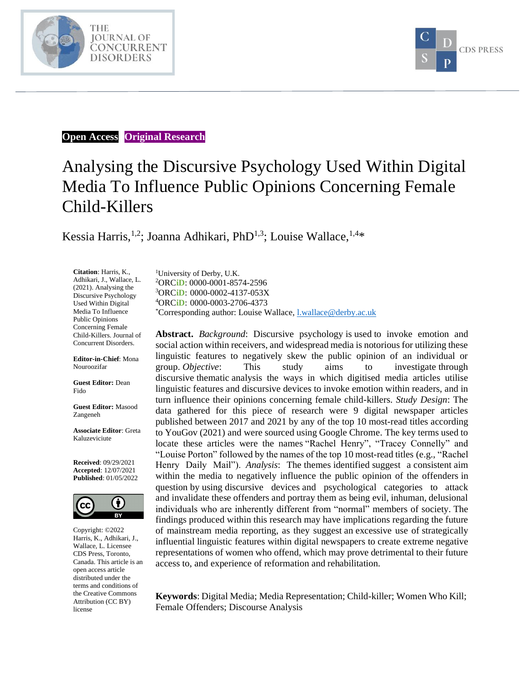



#### **Open Access Original Research**

# Analysing the Discursive Psychology Used Within Digital Media To Influence Public Opinions Concerning Female Child-Killers

Kessia Harris,<sup>1,2</sup>; Joanna Adhikari, PhD<sup>1,3</sup>; Louise Wallace,<sup>1,4\*</sup>

**Citation**: Harris, K., Adhikari, J., Wallace, L. (2021). Analysing the Discursive Psychology Used Within Digital Media To Influence Public Opinions Concerning Female Child-Killers. Journal of Concurrent Disorders.

**Editor-in-Chief**: Mona Nouroozifar

**Guest Editor:** Dean Fido

**Guest Editor:** Masood Zangeneh

**Associate Editor**: Greta Kaluzeviciute

**Received**: 09/29/2021 **Accepted**: 12/07/2021 **Published**: 01/05/2022



Copyright: ©2022 Harris, K., Adhikari, J., Wallace, L. Licensee CDS Press, Toronto, Canada. This article is an open access article distributed under the terms and conditions of the Creative Commons Attribution (CC BY) license

University of Derby, U.K. ORC**iD**: 0000-0001-8574-2596 ORC**iD**: [0000-0002-4137-053X](https://orcid.org/0000-0002-4137-053X) ORC**iD**: 0000-0003-2706-4373 \*Corresponding author: Louise Wallace[, l.wallace@derby.ac.uk](mailto:l.wallace@derby.ac.uk)

**Abstract.** *Background*: Discursive psychology is used to invoke emotion and social action within receivers, and widespread media is notorious for utilizing these linguistic features to negatively skew the public opinion of an individual or group. *Objective*: This study aims to investigate through discursive thematic analysis the ways in which digitised media articles utilise linguistic features and discursive devices to invoke emotion within readers, and in turn influence their opinions concerning female child-killers. *Study Design*: The data gathered for this piece of research were 9 digital newspaper articles published between 2017 and 2021 by any of the top 10 most-read titles according to YouGov (2021) and were sourced using Google Chrome. The key terms used to locate these articles were the names "Rachel Henry", "Tracey Connelly" and "Louise Porton" followed by the names of the top 10 most-read titles (e.g., "Rachel Henry Daily Mail"). *Analysis*: The themes identified suggest a consistent aim within the media to negatively influence the public opinion of the offenders in question by using discursive devices and psychological categories to attack and invalidate these offenders and portray them as being evil, inhuman, delusional individuals who are inherently different from "normal" members of society. The findings produced within this research may have implications regarding the future of mainstream media reporting, as they suggest an excessive use of strategically influential linguistic features within digital newspapers to create extreme negative representations of women who offend, which may prove detrimental to their future access to, and experience of reformation and rehabilitation.

**Keywords**: Digital Media; Media Representation; Child-killer; Women Who Kill; Female Offenders; Discourse Analysis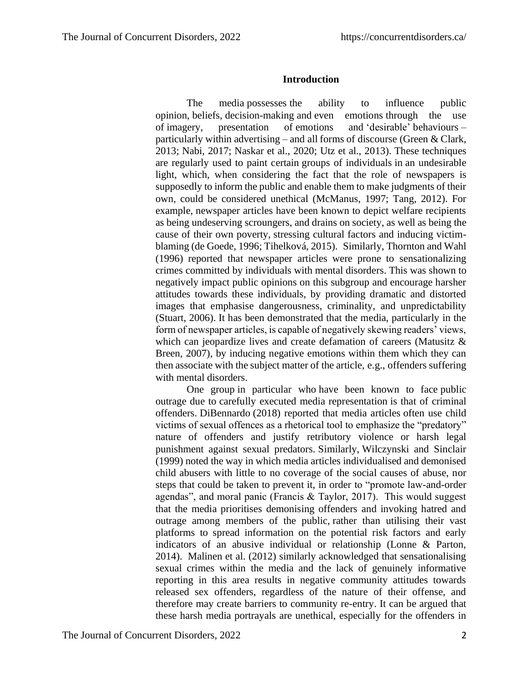#### **Introduction**

The media possesses the ability to influence public opinion, beliefs, decision-making and even emotions through the use of imagery, presentation of emotions and 'desirable' behaviours – particularly within advertising – and all forms of discourse (Green & Clark, 2013; Nabi, 2017; Naskar et al., 2020; Utz et al., 2013). These techniques are regularly used to paint certain groups of individuals in an undesirable light, which, when considering the fact that the role of newspapers is supposedly to inform the public and enable them to make judgments of their own, could be considered unethical (McManus, 1997; Tang, 2012). For example, newspaper articles have been known to depict welfare recipients as being undeserving scroungers, and drains on society, as well as being the cause of their own poverty, stressing cultural factors and inducing victimblaming (de Goede, 1996; Tihelková, 2015). Similarly, Thornton and Wahl (1996) reported that newspaper articles were prone to sensationalizing crimes committed by individuals with mental disorders. This was shown to negatively impact public opinions on this subgroup and encourage harsher attitudes towards these individuals, by providing dramatic and distorted images that emphasise dangerousness, criminality, and unpredictability (Stuart, 2006). It has been demonstrated that the media, particularly in the form of newspaper articles, is capable of negatively skewing readers' views, which can jeopardize lives and create defamation of careers (Matusitz & Breen, 2007), by inducing negative emotions within them which they can then associate with the subject matter of the article, e.g., offenders suffering with mental disorders.

One group in particular who have been known to face public outrage due to carefully executed media representation is that of criminal offenders. DiBennardo (2018) reported that media articles often use child victims of sexual offences as a rhetorical tool to emphasize the "predatory" nature of offenders and justify retributory violence or harsh legal punishment against sexual predators. Similarly, Wilczynski and Sinclair (1999) noted the way in which media articles individualised and demonised child abusers with little to no coverage of the social causes of abuse, nor steps that could be taken to prevent it, in order to "promote law-and-order agendas", and moral panic (Francis & Taylor, 2017). This would suggest that the media prioritises demonising offenders and invoking hatred and outrage among members of the public, rather than utilising their vast platforms to spread information on the potential risk factors and early indicators of an abusive individual or relationship (Lonne & Parton, 2014). Malinen et al. (2012) similarly acknowledged that sensationalising sexual crimes within the media and the lack of genuinely informative reporting in this area results in negative community attitudes towards released sex offenders, regardless of the nature of their offense, and therefore may create barriers to community re-entry. It can be argued that these harsh media portrayals are unethical, especially for the offenders in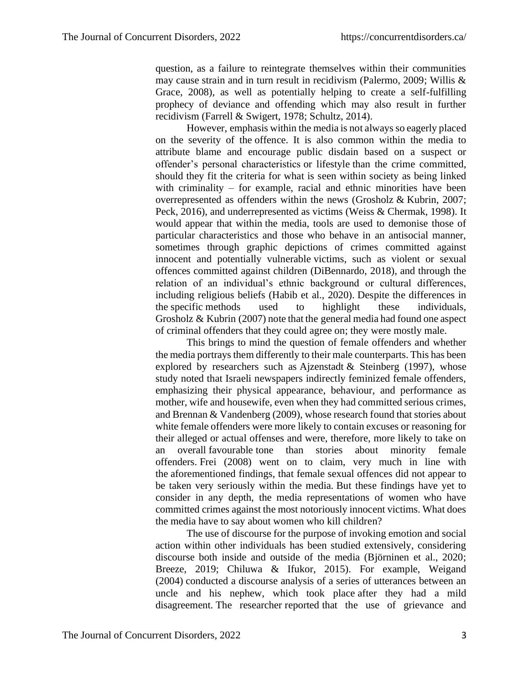question, as a failure to reintegrate themselves within their communities may cause strain and in turn result in recidivism (Palermo, 2009; Willis & Grace, 2008), as well as potentially helping to create a self-fulfilling prophecy of deviance and offending which may also result in further recidivism (Farrell & Swigert, 1978; Schultz, 2014).

However, emphasis within the media is not always so eagerly placed on the severity of the offence. It is also common within the media to attribute blame and encourage public disdain based on a suspect or offender's personal characteristics or lifestyle than the crime committed, should they fit the criteria for what is seen within society as being linked with criminality – for example, racial and ethnic minorities have been overrepresented as offenders within the news (Grosholz & Kubrin, 2007; Peck, 2016), and underrepresented as victims (Weiss & Chermak, 1998). It would appear that within the media, tools are used to demonise those of particular characteristics and those who behave in an antisocial manner, sometimes through graphic depictions of crimes committed against innocent and potentially vulnerable victims, such as violent or sexual offences committed against children (DiBennardo, 2018), and through the relation of an individual's ethnic background or cultural differences, including religious beliefs (Habib et al., 2020). Despite the differences in the specific methods used to highlight these individuals, Grosholz & Kubrin (2007) note that the general media had found one aspect of criminal offenders that they could agree on; they were mostly male.

This brings to mind the question of female offenders and whether the media portrays them differently to their male counterparts. This has been explored by researchers such as Ajzenstadt & Steinberg (1997), whose study noted that Israeli newspapers indirectly feminized female offenders, emphasizing their physical appearance, behaviour, and performance as mother, wife and housewife, even when they had committed serious crimes, and Brennan & Vandenberg (2009), whose research found that stories about white female offenders were more likely to contain excuses or reasoning for their alleged or actual offenses and were, therefore, more likely to take on an overall favourable tone than stories about minority female offenders. Frei (2008) went on to claim, very much in line with the aforementioned findings, that female sexual offences did not appear to be taken very seriously within the media. But these findings have yet to consider in any depth, the media representations of women who have committed crimes against the most notoriously innocent victims. What does the media have to say about women who kill children?

The use of discourse for the purpose of invoking emotion and social action within other individuals has been studied extensively, considering discourse both inside and outside of the media (Björninen et al., 2020; Breeze, 2019; Chiluwa & Ifukor, 2015). For example, Weigand (2004) conducted a discourse analysis of a series of utterances between an uncle and his nephew, which took place after they had a mild disagreement. The researcher reported that the use of grievance and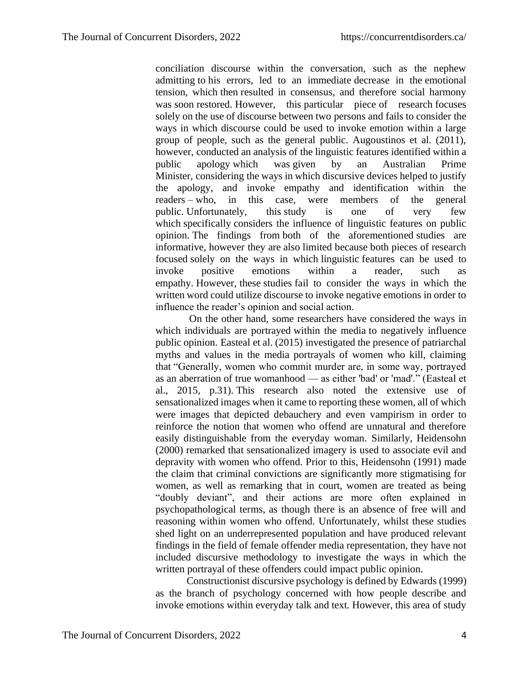conciliation discourse within the conversation, such as the nephew admitting to his errors, led to an immediate decrease in the emotional tension, which then resulted in consensus, and therefore social harmony was soon restored. However, this particular piece of research focuses solely on the use of discourse between two persons and fails to consider the ways in which discourse could be used to invoke emotion within a large group of people, such as the general public. Augoustinos et al. (2011), however, conducted an analysis of the linguistic features identified within a public apology which was given by an Australian Prime Minister, considering the ways in which discursive devices helped to justify the apology, and invoke empathy and identification within the readers – who, in this case, were members of the general public. Unfortunately, this study is one of very few which specifically considers the influence of linguistic features on public opinion. The findings from both of the aforementioned studies are informative, however they are also limited because both pieces of research focused solely on the ways in which linguistic features can be used to invoke positive emotions within a reader, such as empathy. However, these studies fail to consider the ways in which the written word could utilize discourse to invoke negative emotions in order to influence the reader's opinion and social action.

On the other hand, some researchers have considered the ways in which individuals are portrayed within the media to negatively influence public opinion. Easteal et al. (2015) investigated the presence of patriarchal myths and values in the media portrayals of women who kill, claiming that "Generally, women who commit murder are, in some way, portrayed as an aberration of true womanhood — as either 'bad' or 'mad'." (Easteal et al., 2015, p.31). This research also noted the extensive use of sensationalized images when it came to reporting these women, all of which were images that depicted debauchery and even vampirism in order to reinforce the notion that women who offend are unnatural and therefore easily distinguishable from the everyday woman. Similarly, Heidensohn (2000) remarked that sensationalized imagery is used to associate evil and depravity with women who offend. Prior to this, Heidensohn (1991) made the claim that criminal convictions are significantly more stigmatising for women, as well as remarking that in court, women are treated as being "doubly deviant", and their actions are more often explained in psychopathological terms, as though there is an absence of free will and reasoning within women who offend. Unfortunately, whilst these studies shed light on an underrepresented population and have produced relevant findings in the field of female offender media representation, they have not included discursive methodology to investigate the ways in which the written portrayal of these offenders could impact public opinion.

Constructionist discursive psychology is defined by Edwards (1999) as the branch of psychology concerned with how people describe and invoke emotions within everyday talk and text. However, this area of study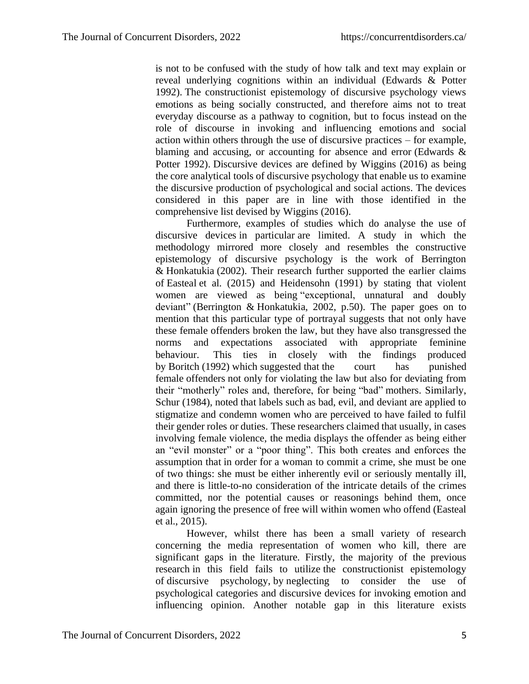is not to be confused with the study of how talk and text may explain or reveal underlying cognitions within an individual (Edwards & Potter 1992). The constructionist epistemology of discursive psychology views emotions as being socially constructed, and therefore aims not to treat everyday discourse as a pathway to cognition, but to focus instead on the role of discourse in invoking and influencing emotions and social action within others through the use of discursive practices – for example, blaming and accusing, or accounting for absence and error (Edwards & Potter 1992). Discursive devices are defined by Wiggins (2016) as being the core analytical tools of discursive psychology that enable us to examine the discursive production of psychological and social actions. The devices considered in this paper are in line with those identified in the comprehensive list devised by Wiggins (2016).

Furthermore, examples of studies which do analyse the use of discursive devices in particular are limited. A study in which the methodology mirrored more closely and resembles the constructive epistemology of discursive psychology is the work of Berrington & Honkatukia (2002). Their research further supported the earlier claims of Easteal et al. (2015) and Heidensohn (1991) by stating that violent women are viewed as being "exceptional, unnatural and doubly deviant" (Berrington & Honkatukia, 2002, p.50). The paper goes on to mention that this particular type of portrayal suggests that not only have these female offenders broken the law, but they have also transgressed the norms and expectations associated with appropriate feminine behaviour. This ties in closely with the findings produced by Boritch (1992) which suggested that the court has punished female offenders not only for violating the law but also for deviating from their "motherly" roles and, therefore, for being "bad" mothers. Similarly, Schur (1984), noted that labels such as bad, evil, and deviant are applied to stigmatize and condemn women who are perceived to have failed to fulfil their gender roles or duties. These researchers claimed that usually, in cases involving female violence, the media displays the offender as being either an "evil monster" or a "poor thing". This both creates and enforces the assumption that in order for a woman to commit a crime, she must be one of two things: she must be either inherently evil or seriously mentally ill, and there is little-to-no consideration of the intricate details of the crimes committed, nor the potential causes or reasonings behind them, once again ignoring the presence of free will within women who offend (Easteal et al., 2015).

However, whilst there has been a small variety of research concerning the media representation of women who kill, there are significant gaps in the literature. Firstly, the majority of the previous research in this field fails to utilize the constructionist epistemology of discursive psychology, by neglecting to consider the use of psychological categories and discursive devices for invoking emotion and influencing opinion. Another notable gap in this literature exists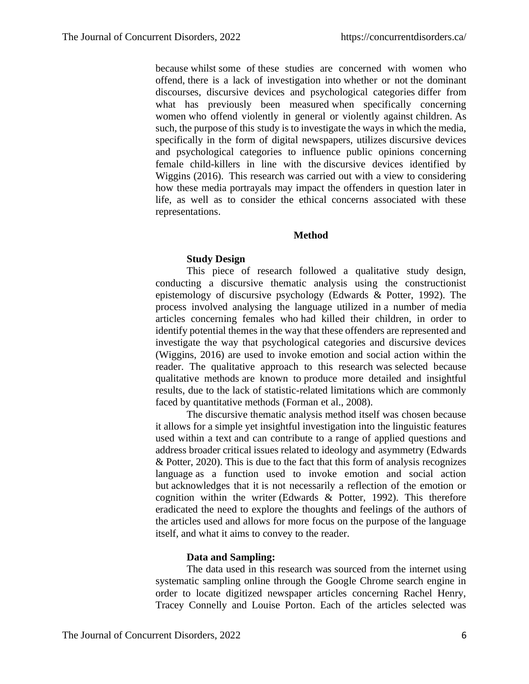because whilst some of these studies are concerned with women who offend, there is a lack of investigation into whether or not the dominant discourses, discursive devices and psychological categories differ from what has previously been measured when specifically concerning women who offend violently in general or violently against children. As such, the purpose of this study is to investigate the ways in which the media, specifically in the form of digital newspapers, utilizes discursive devices and psychological categories to influence public opinions concerning female child-killers in line with the discursive devices identified by Wiggins (2016). This research was carried out with a view to considering how these media portrayals may impact the offenders in question later in life, as well as to consider the ethical concerns associated with these representations.

#### **Method**

## **Study Design**

This piece of research followed a qualitative study design, conducting a discursive thematic analysis using the constructionist epistemology of discursive psychology (Edwards & Potter, 1992). The process involved analysing the language utilized in a number of media articles concerning females who had killed their children, in order to identify potential themes in the way that these offenders are represented and investigate the way that psychological categories and discursive devices (Wiggins, 2016) are used to invoke emotion and social action within the reader. The qualitative approach to this research was selected because qualitative methods are known to produce more detailed and insightful results, due to the lack of statistic-related limitations which are commonly faced by quantitative methods (Forman et al., 2008).

The discursive thematic analysis method itself was chosen because it allows for a simple yet insightful investigation into the linguistic features used within a text and can contribute to a range of applied questions and address broader critical issues related to ideology and asymmetry (Edwards & Potter, 2020). This is due to the fact that this form of analysis recognizes language as a function used to invoke emotion and social action but acknowledges that it is not necessarily a reflection of the emotion or cognition within the writer (Edwards  $\&$  Potter, 1992). This therefore eradicated the need to explore the thoughts and feelings of the authors of the articles used and allows for more focus on the purpose of the language itself, and what it aims to convey to the reader.

## **Data and Sampling:**

The data used in this research was sourced from the internet using systematic sampling online through the Google Chrome search engine in order to locate digitized newspaper articles concerning Rachel Henry, Tracey Connelly and Louise Porton. Each of the articles selected was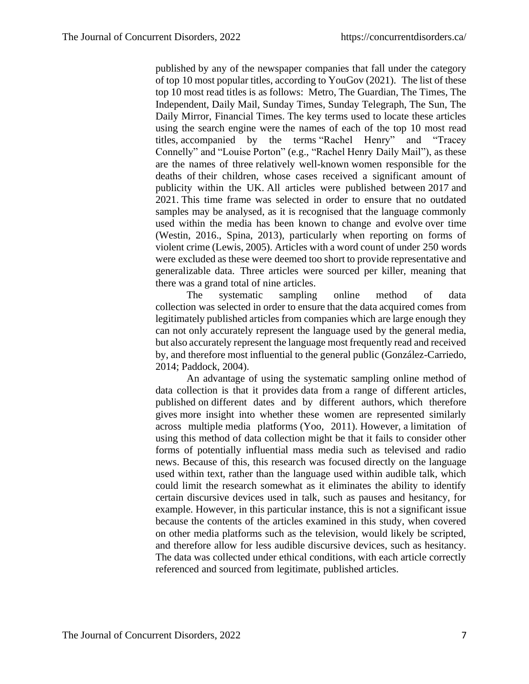published by any of the newspaper companies that fall under the category of top 10 most popular titles, according to YouGov (2021). The list of these top 10 most read titles is as follows: Metro, The Guardian, The Times, The Independent, Daily Mail, Sunday Times, Sunday Telegraph, The Sun, The Daily Mirror, Financial Times. The key terms used to locate these articles using the search engine were the names of each of the top 10 most read titles, accompanied by the terms "Rachel Henry" and "Tracey Connelly" and "Louise Porton" (e.g., "Rachel Henry Daily Mail"), as these are the names of three relatively well-known women responsible for the deaths of their children, whose cases received a significant amount of publicity within the UK. All articles were published between 2017 and 2021. This time frame was selected in order to ensure that no outdated samples may be analysed, as it is recognised that the language commonly used within the media has been known to change and evolve over time (Westin, 2016., Spina, 2013), particularly when reporting on forms of violent crime (Lewis, 2005). Articles with a word count of under 250 words were excluded as these were deemed too short to provide representative and generalizable data. Three articles were sourced per killer, meaning that there was a grand total of nine articles.

The systematic sampling online method of data collection was selected in order to ensure that the data acquired comes from legitimately published articles from companies which are large enough they can not only accurately represent the language used by the general media, but also accurately represent the language most frequently read and received by, and therefore most influential to the general public (González-Carriedo, 2014; Paddock, 2004).

An advantage of using the systematic sampling online method of data collection is that it provides data from a range of different articles, published on different dates and by different authors, which therefore gives more insight into whether these women are represented similarly across multiple media platforms (Yoo, 2011). However, a limitation of using this method of data collection might be that it fails to consider other forms of potentially influential mass media such as televised and radio news. Because of this, this research was focused directly on the language used within text, rather than the language used within audible talk, which could limit the research somewhat as it eliminates the ability to identify certain discursive devices used in talk, such as pauses and hesitancy, for example. However, in this particular instance, this is not a significant issue because the contents of the articles examined in this study, when covered on other media platforms such as the television, would likely be scripted, and therefore allow for less audible discursive devices, such as hesitancy. The data was collected under ethical conditions, with each article correctly referenced and sourced from legitimate, published articles.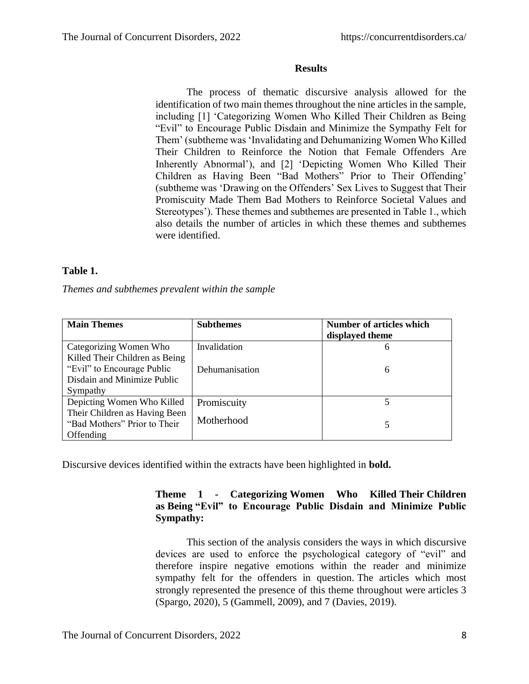#### **Results**

The process of thematic discursive analysis allowed for the identification of two main themes throughout the nine articles in the sample, including [1] 'Categorizing Women Who Killed Their Children as Being "Evil" to Encourage Public Disdain and Minimize the Sympathy Felt for Them' (subtheme was 'Invalidating and Dehumanizing Women Who Killed Their Children to Reinforce the Notion that Female Offenders Are Inherently Abnormal'), and [2] 'Depicting Women Who Killed Their Children as Having Been "Bad Mothers" Prior to Their Offending' (subtheme was 'Drawing on the Offenders' Sex Lives to Suggest that Their Promiscuity Made Them Bad Mothers to Reinforce Societal Values and Stereotypes'). These themes and subthemes are presented in Table 1., which also details the number of articles in which these themes and subthemes were identified.

## **Table 1.**

*Themes and subthemes prevalent within the sample*

| <b>Main Themes</b>                                                         | <b>Subthemes</b> | <b>Number of articles which</b><br>displayed theme |
|----------------------------------------------------------------------------|------------------|----------------------------------------------------|
| Categorizing Women Who<br>Killed Their Children as Being                   | Invalidation     | 6                                                  |
| "Evil" to Encourage Public<br>Disdain and Minimize Public                  | Dehumanisation   | 6                                                  |
| Sympathy                                                                   |                  |                                                    |
| Depicting Women Who Killed                                                 | Promiscuity      |                                                    |
| Their Children as Having Been<br>"Bad Mothers" Prior to Their<br>Offending | Motherhood       | 5                                                  |

Discursive devices identified within the extracts have been highlighted in **bold.**

## **Theme 1 - Categorizing Women Who Killed Their Children as Being "Evil" to Encourage Public Disdain and Minimize Public Sympathy:**

This section of the analysis considers the ways in which discursive devices are used to enforce the psychological category of "evil" and therefore inspire negative emotions within the reader and minimize sympathy felt for the offenders in question. The articles which most strongly represented the presence of this theme throughout were articles 3 (Spargo, 2020), 5 (Gammell, 2009), and 7 (Davies, 2019).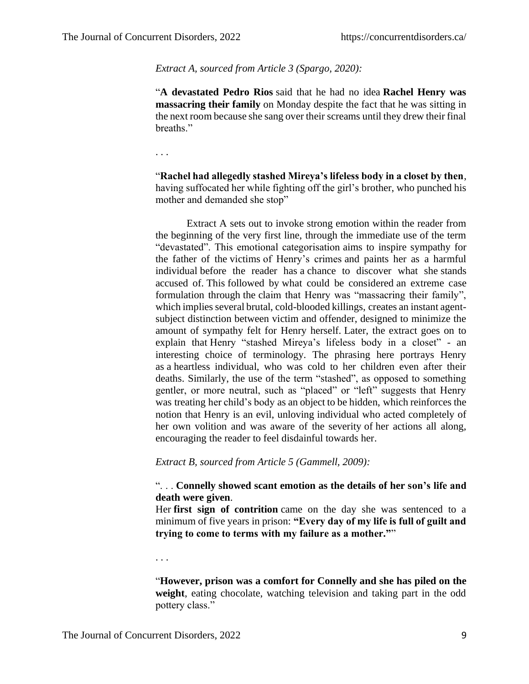*Extract A, sourced from Article 3 (Spargo, 2020):*

"**A devastated Pedro Rios** said that he had no idea **Rachel Henry was massacring their family** on Monday despite the fact that he was sitting in the next room because she sang over their screams until they drew their final breaths."

. . .

"**Rachel had allegedly stashed Mireya's lifeless body in a closet by then**, having suffocated her while fighting off the girl's brother, who punched his mother and demanded she stop"

Extract A sets out to invoke strong emotion within the reader from the beginning of the very first line, through the immediate use of the term "devastated". This emotional categorisation aims to inspire sympathy for the father of the victims of Henry's crimes and paints her as a harmful individual before the reader has a chance to discover what she stands accused of. This followed by what could be considered an extreme case formulation through the claim that Henry was "massacring their family", which implies several brutal, cold-blooded killings, creates an instant agentsubject distinction between victim and offender, designed to minimize the amount of sympathy felt for Henry herself. Later, the extract goes on to explain that Henry "stashed Mireya's lifeless body in a closet" - an interesting choice of terminology. The phrasing here portrays Henry as a heartless individual, who was cold to her children even after their deaths. Similarly, the use of the term "stashed", as opposed to something gentler, or more neutral, such as "placed" or "left" suggests that Henry was treating her child's body as an object to be hidden, which reinforces the notion that Henry is an evil, unloving individual who acted completely of her own volition and was aware of the severity of her actions all along, encouraging the reader to feel disdainful towards her.

*Extract B, sourced from Article 5 (Gammell, 2009):*

#### ". . . **Connelly showed scant emotion as the details of her son's life and death were given**.

Her **first sign of contrition** came on the day she was sentenced to a minimum of five years in prison: **"Every day of my life is full of guilt and trying to come to terms with my failure as a mother."**"

. . .

"**However, prison was a comfort for Connelly and she has piled on the weight**, eating chocolate, watching television and taking part in the odd pottery class."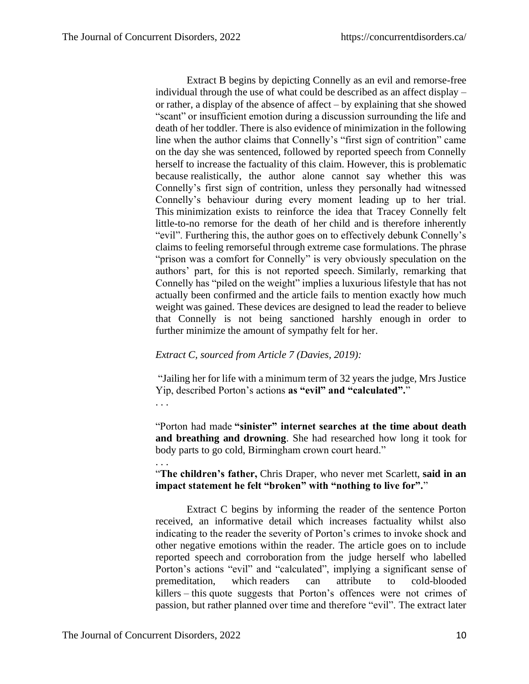Extract B begins by depicting Connelly as an evil and remorse-free individual through the use of what could be described as an affect display – or rather, a display of the absence of affect – by explaining that she showed "scant" or insufficient emotion during a discussion surrounding the life and death of her toddler. There is also evidence of minimization in the following line when the author claims that Connelly's "first sign of contrition" came on the day she was sentenced, followed by reported speech from Connelly herself to increase the factuality of this claim. However, this is problematic because realistically, the author alone cannot say whether this was Connelly's first sign of contrition, unless they personally had witnessed Connelly's behaviour during every moment leading up to her trial. This minimization exists to reinforce the idea that Tracey Connelly felt little-to-no remorse for the death of her child and is therefore inherently "evil". Furthering this, the author goes on to effectively debunk Connelly's claims to feeling remorseful through extreme case formulations. The phrase "prison was a comfort for Connelly" is very obviously speculation on the authors' part, for this is not reported speech. Similarly, remarking that Connelly has "piled on the weight" implies a luxurious lifestyle that has not actually been confirmed and the article fails to mention exactly how much weight was gained. These devices are designed to lead the reader to believe that Connelly is not being sanctioned harshly enough in order to further minimize the amount of sympathy felt for her.

#### *Extract C, sourced from Article 7 (Davies, 2019):*

"Jailing her for life with a minimum term of 32 years the judge, Mrs Justice Yip, described Porton's actions **as "evil" and "calculated".**"

. . .

. . .

"Porton had made **"sinister" internet searches at the time about death and breathing and drowning**. She had researched how long it took for body parts to go cold, Birmingham crown court heard."

"**The children's father,** Chris Draper, who never met Scarlett, **said in an impact statement he felt "broken" with "nothing to live for".**"

Extract C begins by informing the reader of the sentence Porton received, an informative detail which increases factuality whilst also indicating to the reader the severity of Porton's crimes to invoke shock and other negative emotions within the reader. The article goes on to include reported speech and corroboration from the judge herself who labelled Porton's actions "evil" and "calculated", implying a significant sense of premeditation, which readers can attribute to cold-blooded killers – this quote suggests that Porton's offences were not crimes of passion, but rather planned over time and therefore "evil". The extract later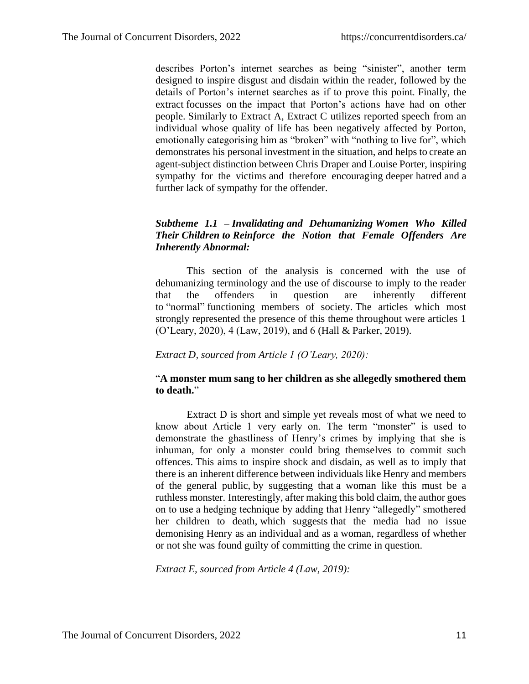describes Porton's internet searches as being "sinister", another term designed to inspire disgust and disdain within the reader, followed by the details of Porton's internet searches as if to prove this point. Finally, the extract focusses on the impact that Porton's actions have had on other people. Similarly to Extract A, Extract C utilizes reported speech from an individual whose quality of life has been negatively affected by Porton, emotionally categorising him as "broken" with "nothing to live for", which demonstrates his personal investment in the situation, and helps to create an agent-subject distinction between Chris Draper and Louise Porter, inspiring sympathy for the victims and therefore encouraging deeper hatred and a further lack of sympathy for the offender.

## *Subtheme 1.1 – Invalidating and Dehumanizing Women Who Killed Their Children to Reinforce the Notion that Female Offenders Are Inherently Abnormal:*

This section of the analysis is concerned with the use of dehumanizing terminology and the use of discourse to imply to the reader that the offenders in question are inherently different to "normal" functioning members of society. The articles which most strongly represented the presence of this theme throughout were articles 1 (O'Leary, 2020), 4 (Law, 2019), and 6 (Hall & Parker, 2019).

## *Extract D, sourced from Article 1 (O'Leary, 2020):*

## "**A monster mum sang to her children as she allegedly smothered them to death.**"

Extract D is short and simple yet reveals most of what we need to know about Article 1 very early on. The term "monster" is used to demonstrate the ghastliness of Henry's crimes by implying that she is inhuman, for only a monster could bring themselves to commit such offences. This aims to inspire shock and disdain, as well as to imply that there is an inherent difference between individuals like Henry and members of the general public, by suggesting that a woman like this must be a ruthless monster. Interestingly, after making this bold claim, the author goes on to use a hedging technique by adding that Henry "allegedly" smothered her children to death, which suggests that the media had no issue demonising Henry as an individual and as a woman, regardless of whether or not she was found guilty of committing the crime in question.

*Extract E, sourced from Article 4 (Law, 2019):*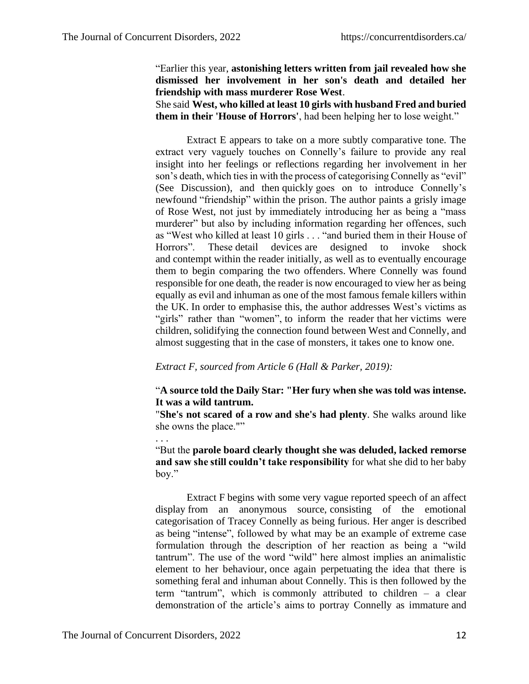#### "Earlier this year, **astonishing letters written from jail revealed how she dismissed her involvement in her son's death and detailed her friendship with mass murderer Rose West**.

She said **West, who killed at least 10 girls with husband Fred and buried them in their 'House of Horrors'**, had been helping her to lose weight."

Extract E appears to take on a more subtly comparative tone. The extract very vaguely touches on Connelly's failure to provide any real insight into her feelings or reflections regarding her involvement in her son's death, which ties in with the process of categorising Connelly as "evil" (See Discussion), and then quickly goes on to introduce Connelly's newfound "friendship" within the prison. The author paints a grisly image of Rose West, not just by immediately introducing her as being a "mass murderer" but also by including information regarding her offences, such as "West who killed at least 10 girls . . . "and buried them in their House of Horrors". These detail devices are designed to invoke shock and contempt within the reader initially, as well as to eventually encourage them to begin comparing the two offenders. Where Connelly was found responsible for one death, the reader is now encouraged to view her as being equally as evil and inhuman as one of the most famous female killers within the UK. In order to emphasise this, the author addresses West's victims as "girls" rather than "women", to inform the reader that her victims were children, solidifying the connection found between West and Connelly, and almost suggesting that in the case of monsters, it takes one to know one.

#### *Extract F, sourced from Article 6 (Hall & Parker, 2019):*

## "**A source told the Daily Star: "Her fury when she was told was intense. It was a wild tantrum.**

"**She's not scared of a row and she's had plenty**. She walks around like she owns the place.""

"But the **parole board clearly thought she was deluded, lacked remorse and saw she still couldn't take responsibility** for what she did to her baby boy."

Extract F begins with some very vague reported speech of an affect display from an anonymous source, consisting of the emotional categorisation of Tracey Connelly as being furious. Her anger is described as being "intense", followed by what may be an example of extreme case formulation through the description of her reaction as being a "wild tantrum". The use of the word "wild" here almost implies an animalistic element to her behaviour, once again perpetuating the idea that there is something feral and inhuman about Connelly. This is then followed by the term "tantrum", which is commonly attributed to children – a clear demonstration of the article's aims to portray Connelly as immature and

. . .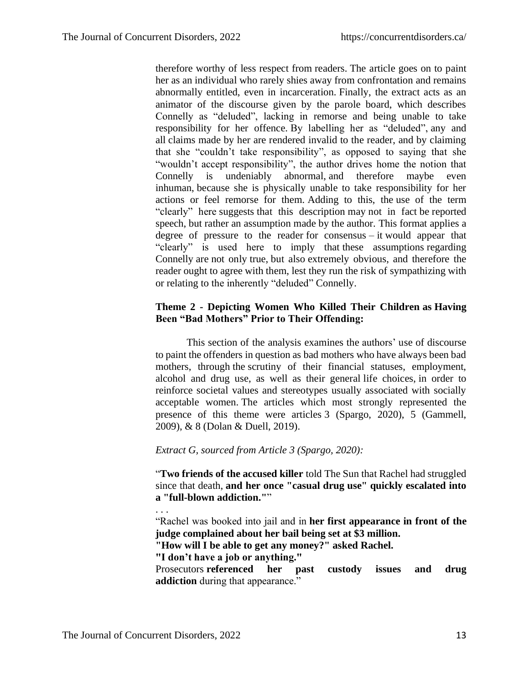therefore worthy of less respect from readers. The article goes on to paint her as an individual who rarely shies away from confrontation and remains abnormally entitled, even in incarceration. Finally, the extract acts as an animator of the discourse given by the parole board, which describes Connelly as "deluded", lacking in remorse and being unable to take responsibility for her offence. By labelling her as "deluded", any and all claims made by her are rendered invalid to the reader, and by claiming that she "couldn't take responsibility", as opposed to saying that she "wouldn't accept responsibility", the author drives home the notion that Connelly is undeniably abnormal, and therefore maybe even inhuman, because she is physically unable to take responsibility for her actions or feel remorse for them. Adding to this, the use of the term "clearly" here suggests that this description may not in fact be reported speech, but rather an assumption made by the author. This format applies a degree of pressure to the reader for consensus – it would appear that "clearly" is used here to imply that these assumptions regarding Connelly are not only true, but also extremely obvious, and therefore the reader ought to agree with them, lest they run the risk of sympathizing with or relating to the inherently "deluded" Connelly.

## **Theme 2 - Depicting Women Who Killed Their Children as Having Been "Bad Mothers" Prior to Their Offending:**

This section of the analysis examines the authors' use of discourse to paint the offenders in question as bad mothers who have always been bad mothers, through the scrutiny of their financial statuses, employment, alcohol and drug use, as well as their general life choices, in order to reinforce societal values and stereotypes usually associated with socially acceptable women. The articles which most strongly represented the presence of this theme were articles 3 (Spargo, 2020), 5 (Gammell, 2009), & 8 (Dolan & Duell, 2019).

#### *Extract G, sourced from Article 3 (Spargo, 2020):*

"**Two friends of the accused killer** told The Sun that Rachel had struggled since that death, **and her once "casual drug use" quickly escalated into a "full-blown addiction."**"

"Rachel was booked into jail and in **her first appearance in front of the judge complained about her bail being set at \$3 million.**

**"How will I be able to get any money?" asked Rachel.**

**"I don't have a job or anything."**

Prosecutors **referenced her past custody issues and drug addiction** during that appearance."

. . .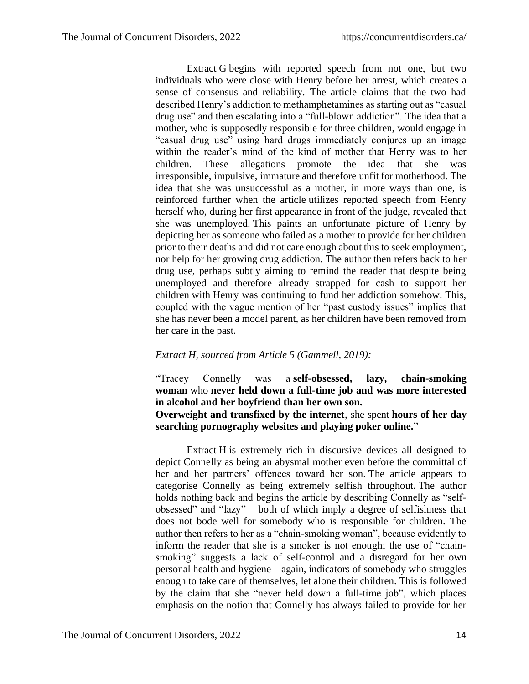Extract G begins with reported speech from not one, but two individuals who were close with Henry before her arrest, which creates a sense of consensus and reliability. The article claims that the two had described Henry's addiction to methamphetamines as starting out as "casual drug use" and then escalating into a "full-blown addiction". The idea that a mother, who is supposedly responsible for three children, would engage in "casual drug use" using hard drugs immediately conjures up an image within the reader's mind of the kind of mother that Henry was to her children. These allegations promote the idea that she was irresponsible, impulsive, immature and therefore unfit for motherhood. The idea that she was unsuccessful as a mother, in more ways than one, is reinforced further when the article utilizes reported speech from Henry herself who, during her first appearance in front of the judge, revealed that she was unemployed. This paints an unfortunate picture of Henry by depicting her as someone who failed as a mother to provide for her children prior to their deaths and did not care enough about this to seek employment, nor help for her growing drug addiction. The author then refers back to her drug use, perhaps subtly aiming to remind the reader that despite being unemployed and therefore already strapped for cash to support her children with Henry was continuing to fund her addiction somehow. This, coupled with the vague mention of her "past custody issues" implies that she has never been a model parent, as her children have been removed from her care in the past.

#### *Extract H, sourced from Article 5 (Gammell, 2019):*

"Tracey Connelly was a **self-obsessed, lazy, chain-smoking woman** who **never held down a full-time job and was more interested in alcohol and her boyfriend than her own son. Overweight and transfixed by the internet**, she spent **hours of her day** 

**searching pornography websites and playing poker online.**"

Extract H is extremely rich in discursive devices all designed to depict Connelly as being an abysmal mother even before the committal of her and her partners' offences toward her son. The article appears to categorise Connelly as being extremely selfish throughout. The author holds nothing back and begins the article by describing Connelly as "selfobsessed" and "lazy" – both of which imply a degree of selfishness that does not bode well for somebody who is responsible for children. The author then refers to her as a "chain-smoking woman", because evidently to inform the reader that she is a smoker is not enough; the use of "chainsmoking" suggests a lack of self-control and a disregard for her own personal health and hygiene – again, indicators of somebody who struggles enough to take care of themselves, let alone their children. This is followed by the claim that she "never held down a full-time job", which places emphasis on the notion that Connelly has always failed to provide for her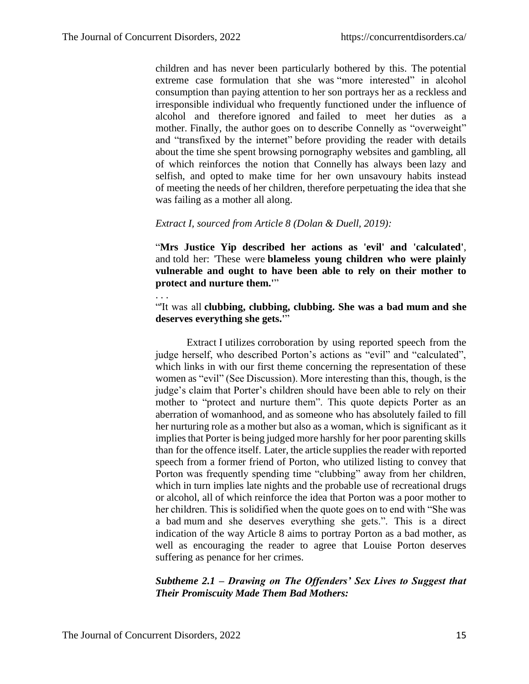. . .

children and has never been particularly bothered by this. The potential extreme case formulation that she was "more interested" in alcohol consumption than paying attention to her son portrays her as a reckless and irresponsible individual who frequently functioned under the influence of alcohol and therefore ignored and failed to meet her duties as a mother. Finally, the author goes on to describe Connelly as "overweight" and "transfixed by the internet" before providing the reader with details about the time she spent browsing pornography websites and gambling, all of which reinforces the notion that Connelly has always been lazy and selfish, and opted to make time for her own unsavoury habits instead of meeting the needs of her children, therefore perpetuating the idea that she was failing as a mother all along.

#### *Extract I, sourced from Article 8 (Dolan & Duell, 2019):*

"**Mrs Justice Yip described her actions as 'evil' and 'calculated'**, and told her: 'These were **blameless young children who were plainly vulnerable and ought to have been able to rely on their mother to protect and nurture them.'**"

"'It was all **clubbing, clubbing, clubbing. She was a bad mum and she deserves everything she gets.'**"

Extract I utilizes corroboration by using reported speech from the judge herself, who described Porton's actions as "evil" and "calculated", which links in with our first theme concerning the representation of these women as "evil" (See Discussion). More interesting than this, though, is the judge's claim that Porter's children should have been able to rely on their mother to "protect and nurture them". This quote depicts Porter as an aberration of womanhood, and as someone who has absolutely failed to fill her nurturing role as a mother but also as a woman, which is significant as it implies that Porter is being judged more harshly for her poor parenting skills than for the offence itself. Later, the article supplies the reader with reported speech from a former friend of Porton, who utilized listing to convey that Porton was frequently spending time "clubbing" away from her children, which in turn implies late nights and the probable use of recreational drugs or alcohol, all of which reinforce the idea that Porton was a poor mother to her children. This is solidified when the quote goes on to end with "She was a bad mum and she deserves everything she gets.". This is a direct indication of the way Article 8 aims to portray Porton as a bad mother, as well as encouraging the reader to agree that Louise Porton deserves suffering as penance for her crimes.

*Subtheme 2.1 – Drawing on The Offenders' Sex Lives to Suggest that Their Promiscuity Made Them Bad Mothers:*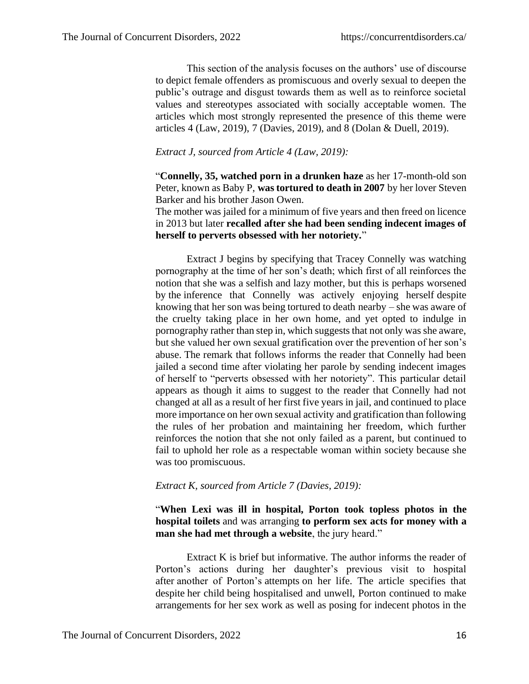This section of the analysis focuses on the authors' use of discourse to depict female offenders as promiscuous and overly sexual to deepen the public's outrage and disgust towards them as well as to reinforce societal values and stereotypes associated with socially acceptable women. The articles which most strongly represented the presence of this theme were articles 4 (Law, 2019), 7 (Davies, 2019), and 8 (Dolan & Duell, 2019).

## *Extract J, sourced from Article 4 (Law, 2019):*

"**Connelly, 35, watched porn in a drunken haze** as her 17-month-old son Peter, known as Baby P, **was tortured to death in 2007** by her lover Steven Barker and his brother Jason Owen.

The mother was jailed for a minimum of five years and then freed on licence in 2013 but later **recalled after she had been sending indecent images of herself to perverts obsessed with her notoriety.**"

Extract J begins by specifying that Tracey Connelly was watching pornography at the time of her son's death; which first of all reinforces the notion that she was a selfish and lazy mother, but this is perhaps worsened by the inference that Connelly was actively enjoying herself despite knowing that her son was being tortured to death nearby – she was aware of the cruelty taking place in her own home, and yet opted to indulge in pornography rather than step in, which suggests that not only was she aware, but she valued her own sexual gratification over the prevention of her son's abuse. The remark that follows informs the reader that Connelly had been jailed a second time after violating her parole by sending indecent images of herself to "perverts obsessed with her notoriety". This particular detail appears as though it aims to suggest to the reader that Connelly had not changed at all as a result of her first five years in jail, and continued to place more importance on her own sexual activity and gratification than following the rules of her probation and maintaining her freedom, which further reinforces the notion that she not only failed as a parent, but continued to fail to uphold her role as a respectable woman within society because she was too promiscuous.

#### *Extract K, sourced from Article 7 (Davies, 2019):*

## "**When Lexi was ill in hospital, Porton took topless photos in the hospital toilets** and was arranging **to perform sex acts for money with a man she had met through a website**, the jury heard."

Extract K is brief but informative. The author informs the reader of Porton's actions during her daughter's previous visit to hospital after another of Porton's attempts on her life. The article specifies that despite her child being hospitalised and unwell, Porton continued to make arrangements for her sex work as well as posing for indecent photos in the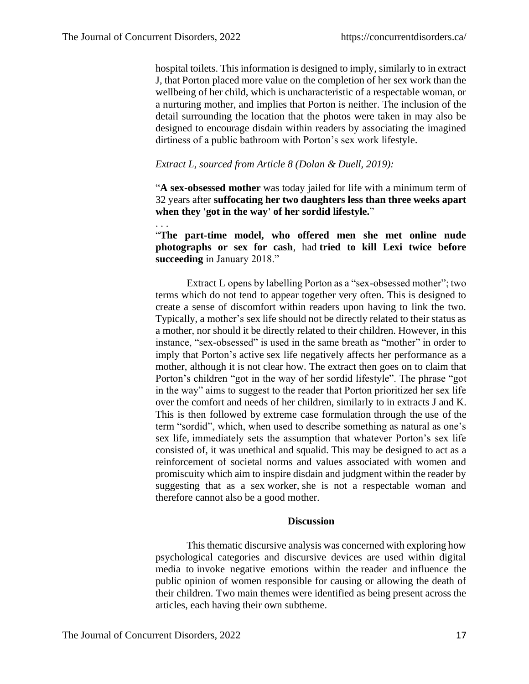. . .

hospital toilets. This information is designed to imply, similarly to in extract J, that Porton placed more value on the completion of her sex work than the wellbeing of her child, which is uncharacteristic of a respectable woman, or a nurturing mother, and implies that Porton is neither. The inclusion of the detail surrounding the location that the photos were taken in may also be designed to encourage disdain within readers by associating the imagined dirtiness of a public bathroom with Porton's sex work lifestyle.

#### *Extract L, sourced from Article 8 (Dolan & Duell, 2019):*

"**A sex-obsessed mother** was today jailed for life with a minimum term of 32 years after **suffocating her two daughters less than three weeks apart when they 'got in the way' of her sordid lifestyle.**"

"**The part-time model, who offered men she met online nude photographs or sex for cash**, had **tried to kill Lexi twice before succeeding** in January 2018."

Extract L opens by labelling Porton as a "sex-obsessed mother"; two terms which do not tend to appear together very often. This is designed to create a sense of discomfort within readers upon having to link the two. Typically, a mother's sex life should not be directly related to their status as a mother, nor should it be directly related to their children. However, in this instance, "sex-obsessed" is used in the same breath as "mother" in order to imply that Porton's active sex life negatively affects her performance as a mother, although it is not clear how. The extract then goes on to claim that Porton's children "got in the way of her sordid lifestyle". The phrase "got in the way" aims to suggest to the reader that Porton prioritized her sex life over the comfort and needs of her children, similarly to in extracts J and K. This is then followed by extreme case formulation through the use of the term "sordid", which, when used to describe something as natural as one's sex life, immediately sets the assumption that whatever Porton's sex life consisted of, it was unethical and squalid. This may be designed to act as a reinforcement of societal norms and values associated with women and promiscuity which aim to inspire disdain and judgment within the reader by suggesting that as a sex worker, she is not a respectable woman and therefore cannot also be a good mother.

#### **Discussion**

This thematic discursive analysis was concerned with exploring how psychological categories and discursive devices are used within digital media to invoke negative emotions within the reader and influence the public opinion of women responsible for causing or allowing the death of their children. Two main themes were identified as being present across the articles, each having their own subtheme.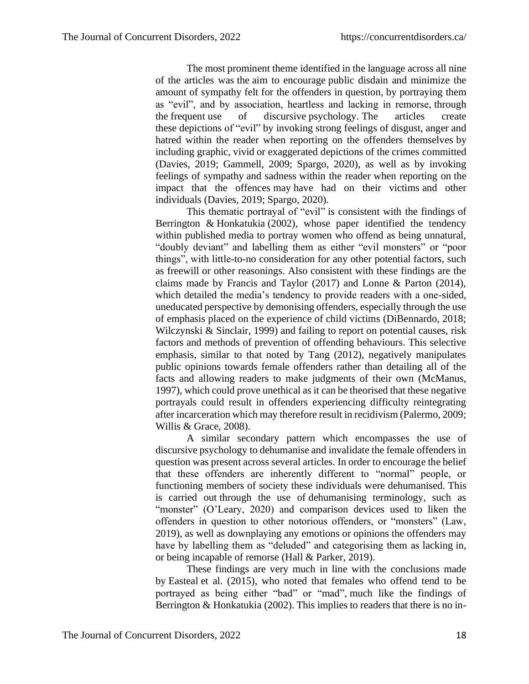The most prominent theme identified in the language across all nine of the articles was the aim to encourage public disdain and minimize the amount of sympathy felt for the offenders in question, by portraying them as "evil", and by association, heartless and lacking in remorse, through the frequent use of discursive psychology. The articles create these depictions of "evil" by invoking strong feelings of disgust, anger and hatred within the reader when reporting on the offenders themselves by including graphic, vivid or exaggerated depictions of the crimes committed (Davies, 2019; Gammell, 2009; Spargo, 2020), as well as by invoking feelings of sympathy and sadness within the reader when reporting on the impact that the offences may have had on their victims and other individuals (Davies, 2019; Spargo, 2020).

This thematic portrayal of "evil" is consistent with the findings of Berrington & Honkatukia (2002), whose paper identified the tendency within published media to portray women who offend as being unnatural, "doubly deviant" and labelling them as either "evil monsters" or "poor things", with little-to-no consideration for any other potential factors, such as freewill or other reasonings. Also consistent with these findings are the claims made by Francis and Taylor (2017) and Lonne & Parton (2014), which detailed the media's tendency to provide readers with a one-sided, uneducated perspective by demonising offenders, especially through the use of emphasis placed on the experience of child victims (DiBennardo, 2018; Wilczynski & Sinclair, 1999) and failing to report on potential causes, risk factors and methods of prevention of offending behaviours. This selective emphasis, similar to that noted by Tang (2012), negatively manipulates public opinions towards female offenders rather than detailing all of the facts and allowing readers to make judgments of their own (McManus, 1997), which could prove unethical as it can be theorised that these negative portrayals could result in offenders experiencing difficulty reintegrating after incarceration which may therefore result in recidivism (Palermo, 2009; Willis & Grace, 2008).

A similar secondary pattern which encompasses the use of discursive psychology to dehumanise and invalidate the female offenders in question was present across several articles. In order to encourage the belief that these offenders are inherently different to "normal" people, or functioning members of society these individuals were dehumanised. This is carried out through the use of dehumanising terminology, such as "monster" (O'Leary, 2020) and comparison devices used to liken the offenders in question to other notorious offenders, or "monsters" (Law, 2019), as well as downplaying any emotions or opinions the offenders may have by labelling them as "deluded" and categorising them as lacking in, or being incapable of remorse (Hall & Parker, 2019).

These findings are very much in line with the conclusions made by Easteal et al. (2015), who noted that females who offend tend to be portrayed as being either "bad" or "mad", much like the findings of Berrington & Honkatukia (2002). This implies to readers that there is no in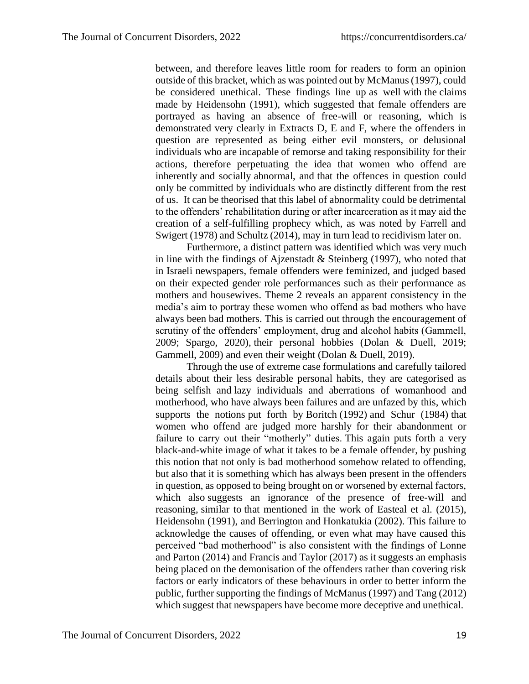between, and therefore leaves little room for readers to form an opinion outside of this bracket, which as was pointed out by McManus (1997), could be considered unethical. These findings line up as well with the claims made by Heidensohn (1991), which suggested that female offenders are portrayed as having an absence of free-will or reasoning, which is demonstrated very clearly in Extracts D, E and F, where the offenders in question are represented as being either evil monsters, or delusional individuals who are incapable of remorse and taking responsibility for their actions, therefore perpetuating the idea that women who offend are inherently and socially abnormal, and that the offences in question could only be committed by individuals who are distinctly different from the rest of us. It can be theorised that this label of abnormality could be detrimental to the offenders' rehabilitation during or after incarceration as it may aid the creation of a self-fulfilling prophecy which, as was noted by Farrell and Swigert (1978) and Schultz (2014), may in turn lead to recidivism later on.

Furthermore, a distinct pattern was identified which was very much in line with the findings of Ajzenstadt & Steinberg (1997), who noted that in Israeli newspapers, female offenders were feminized, and judged based on their expected gender role performances such as their performance as mothers and housewives. Theme 2 reveals an apparent consistency in the media's aim to portray these women who offend as bad mothers who have always been bad mothers. This is carried out through the encouragement of scrutiny of the offenders' employment, drug and alcohol habits (Gammell, 2009; Spargo, 2020), their personal hobbies (Dolan & Duell, 2019; Gammell, 2009) and even their weight (Dolan & Duell, 2019).

Through the use of extreme case formulations and carefully tailored details about their less desirable personal habits, they are categorised as being selfish and lazy individuals and aberrations of womanhood and motherhood, who have always been failures and are unfazed by this, which supports the notions put forth by Boritch (1992) and Schur (1984) that women who offend are judged more harshly for their abandonment or failure to carry out their "motherly" duties. This again puts forth a very black-and-white image of what it takes to be a female offender, by pushing this notion that not only is bad motherhood somehow related to offending, but also that it is something which has always been present in the offenders in question, as opposed to being brought on or worsened by external factors, which also suggests an ignorance of the presence of free-will and reasoning, similar to that mentioned in the work of Easteal et al. (2015), Heidensohn (1991), and Berrington and Honkatukia (2002). This failure to acknowledge the causes of offending, or even what may have caused this perceived "bad motherhood" is also consistent with the findings of Lonne and Parton (2014) and Francis and Taylor (2017) as it suggests an emphasis being placed on the demonisation of the offenders rather than covering risk factors or early indicators of these behaviours in order to better inform the public, further supporting the findings of McManus (1997) and Tang (2012) which suggest that newspapers have become more deceptive and unethical.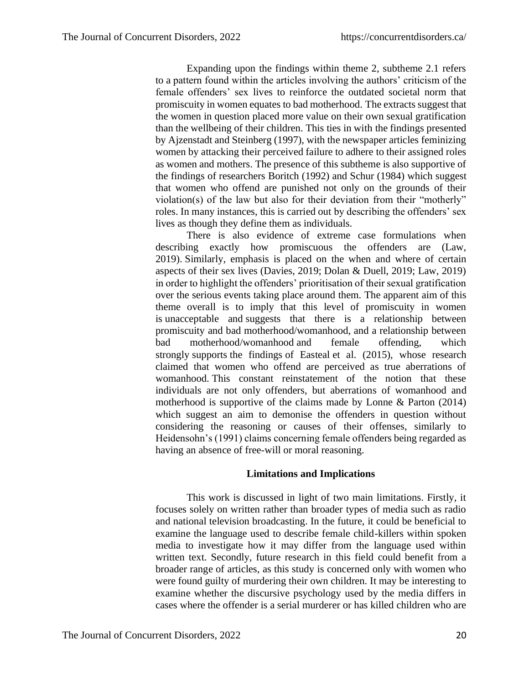Expanding upon the findings within theme 2, subtheme 2.1 refers to a pattern found within the articles involving the authors' criticism of the female offenders' sex lives to reinforce the outdated societal norm that promiscuity in women equates to bad motherhood. The extracts suggest that the women in question placed more value on their own sexual gratification than the wellbeing of their children. This ties in with the findings presented by Ajzenstadt and Steinberg (1997), with the newspaper articles feminizing women by attacking their perceived failure to adhere to their assigned roles as women and mothers. The presence of this subtheme is also supportive of the findings of researchers Boritch (1992) and Schur (1984) which suggest that women who offend are punished not only on the grounds of their violation(s) of the law but also for their deviation from their "motherly" roles. In many instances, this is carried out by describing the offenders' sex lives as though they define them as individuals.

There is also evidence of extreme case formulations when describing exactly how promiscuous the offenders are (Law, 2019). Similarly, emphasis is placed on the when and where of certain aspects of their sex lives (Davies, 2019; Dolan & Duell, 2019; Law, 2019) in order to highlight the offenders' prioritisation of their sexual gratification over the serious events taking place around them. The apparent aim of this theme overall is to imply that this level of promiscuity in women is unacceptable and suggests that there is a relationship between promiscuity and bad motherhood/womanhood, and a relationship between bad motherhood/womanhood and female offending, which strongly supports the findings of Easteal et al. (2015), whose research claimed that women who offend are perceived as true aberrations of womanhood. This constant reinstatement of the notion that these individuals are not only offenders, but aberrations of womanhood and motherhood is supportive of the claims made by Lonne & Parton (2014) which suggest an aim to demonise the offenders in question without considering the reasoning or causes of their offenses, similarly to Heidensohn's (1991) claims concerning female offenders being regarded as having an absence of free-will or moral reasoning.

#### **Limitations and Implications**

This work is discussed in light of two main limitations. Firstly, it focuses solely on written rather than broader types of media such as radio and national television broadcasting. In the future, it could be beneficial to examine the language used to describe female child-killers within spoken media to investigate how it may differ from the language used within written text. Secondly, future research in this field could benefit from a broader range of articles, as this study is concerned only with women who were found guilty of murdering their own children. It may be interesting to examine whether the discursive psychology used by the media differs in cases where the offender is a serial murderer or has killed children who are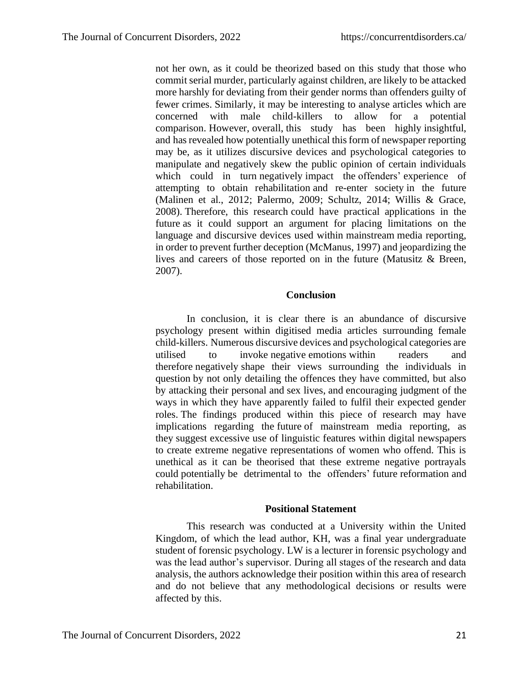not her own, as it could be theorized based on this study that those who commit serial murder, particularly against children, are likely to be attacked more harshly for deviating from their gender norms than offenders guilty of fewer crimes. Similarly, it may be interesting to analyse articles which are concerned with male child-killers to allow for a potential comparison. However, overall, this study has been highly insightful, and has revealed how potentially unethical this form of newspaper reporting may be, as it utilizes discursive devices and psychological categories to manipulate and negatively skew the public opinion of certain individuals which could in turn negatively impact the offenders' experience of attempting to obtain rehabilitation and re-enter society in the future (Malinen et al., 2012; Palermo, 2009; Schultz, 2014; Willis & Grace, 2008). Therefore, this research could have practical applications in the future as it could support an argument for placing limitations on the language and discursive devices used within mainstream media reporting, in order to prevent further deception (McManus, 1997) and jeopardizing the lives and careers of those reported on in the future (Matusitz & Breen, 2007).

#### **Conclusion**

In conclusion, it is clear there is an abundance of discursive psychology present within digitised media articles surrounding female child-killers. Numerous discursive devices and psychological categories are utilised to invoke negative emotions within readers and therefore negatively shape their views surrounding the individuals in question by not only detailing the offences they have committed, but also by attacking their personal and sex lives, and encouraging judgment of the ways in which they have apparently failed to fulfil their expected gender roles. The findings produced within this piece of research may have implications regarding the future of mainstream media reporting, as they suggest excessive use of linguistic features within digital newspapers to create extreme negative representations of women who offend. This is unethical as it can be theorised that these extreme negative portrayals could potentially be detrimental to the offenders' future reformation and rehabilitation.

#### **Positional Statement**

This research was conducted at a University within the United Kingdom, of which the lead author, KH, was a final year undergraduate student of forensic psychology. LW is a lecturer in forensic psychology and was the lead author's supervisor. During all stages of the research and data analysis, the authors acknowledge their position within this area of research and do not believe that any methodological decisions or results were affected by this.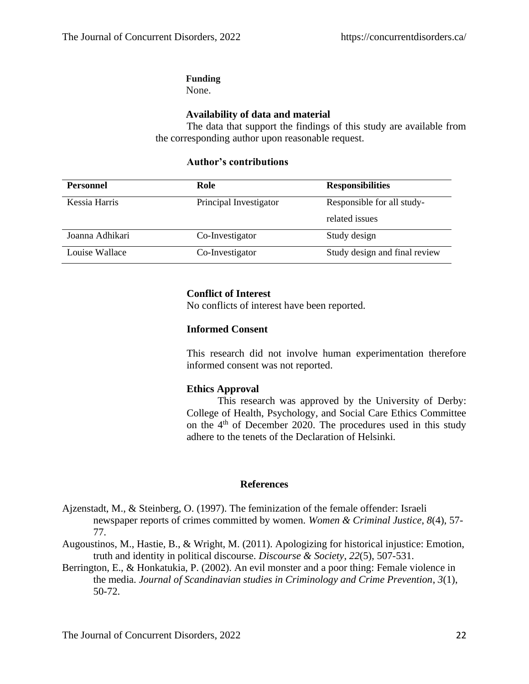## **Funding**

None.

## **Availability of data and material**

The data that support the findings of this study are available from the corresponding author upon reasonable request.

## **Personnel Role Responsibilities** Kessia Harris Principal Investigator Responsible for all studyrelated issues Joanna Adhikari Co-Investigator Study design Louise Wallace Co-Investigator Study design and final review

## **Author's contributions**

## **Conflict of Interest**

No conflicts of interest have been reported.

## **Informed Consent**

This research did not involve human experimentation therefore informed consent was not reported.

## **Ethics Approval**

This research was approved by the University of Derby: College of Health, Psychology, and Social Care Ethics Committee on the 4th of December 2020. The procedures used in this study adhere to the tenets of the Declaration of Helsinki.

#### **References**

- Ajzenstadt, M., & Steinberg, O. (1997). The feminization of the female offender: Israeli newspaper reports of crimes committed by women. *Women & Criminal Justice*, *8*(4), 57- 77.
- Augoustinos, M., Hastie, B., & Wright, M. (2011). Apologizing for historical injustice: Emotion, truth and identity in political discourse. *Discourse & Society*, *22*(5), 507-531.
- Berrington, E., & Honkatukia, P. (2002). An evil monster and a poor thing: Female violence in the media. *Journal of Scandinavian studies in Criminology and Crime Prevention*, *3*(1), 50-72.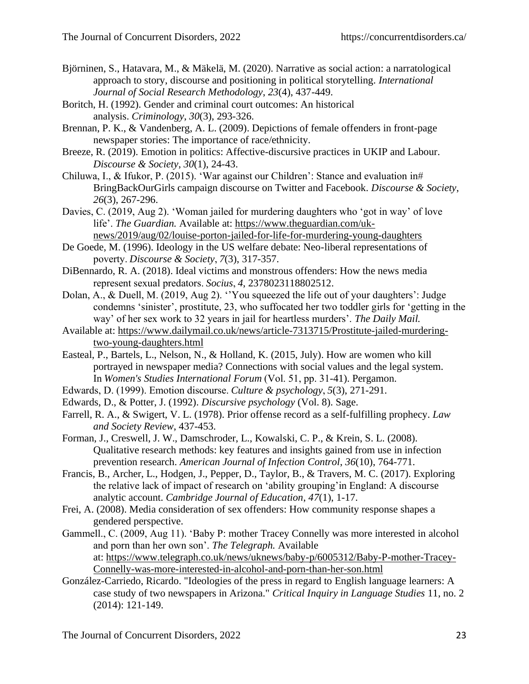- Björninen, S., Hatavara, M., & Mäkelä, M. (2020). Narrative as social action: a narratological approach to story, discourse and positioning in political storytelling. *International Journal of Social Research Methodology*, *23*(4), 437-449.
- Boritch, H. (1992). Gender and criminal court outcomes: An historical analysis. *Criminology*, *30*(3), 293-326.
- Brennan, P. K., & Vandenberg, A. L. (2009). Depictions of female offenders in front-page newspaper stories: The importance of race/ethnicity.
- Breeze, R. (2019). Emotion in politics: Affective-discursive practices in UKIP and Labour. *Discourse & Society*, *30*(1), 24-43.
- Chiluwa, I., & Ifukor, P. (2015). 'War against our Children': Stance and evaluation in# BringBackOurGirls campaign discourse on Twitter and Facebook. *Discourse & Society*, *26*(3), 267-296.
- Davies, C. (2019, Aug 2). 'Woman jailed for murdering daughters who 'got in way' of love life'. *The Guardian.* Available at: [https://www.theguardian.com/uk](https://www.theguardian.com/uk-news/2019/aug/02/louise-porton-jailed-for-life-for-murdering-young-daughters)[news/2019/aug/02/louise-porton-jailed-for-life-for-murdering-young-daughters](https://www.theguardian.com/uk-news/2019/aug/02/louise-porton-jailed-for-life-for-murdering-young-daughters)
- De Goede, M. (1996). Ideology in the US welfare debate: Neo-liberal representations of poverty. *Discourse & Society*, *7*(3), 317-357.
- DiBennardo, R. A. (2018). Ideal victims and monstrous offenders: How the news media represent sexual predators. *Socius*, *4*, 2378023118802512.
- Dolan, A., & Duell, M. (2019, Aug 2). ''You squeezed the life out of your daughters': Judge condemns 'sinister', prostitute, 23, who suffocated her two toddler girls for 'getting in the way' of her sex work to 32 years in jail for heartless murders'. *The Daily Mail.*
- Available at: [https://www.dailymail.co.uk/news/article-7313715/Prostitute-jailed-murdering](https://www.dailymail.co.uk/news/article-7313715/Prostitute-jailed-murdering-two-young-daughters.html)[two-young-daughters.html](https://www.dailymail.co.uk/news/article-7313715/Prostitute-jailed-murdering-two-young-daughters.html)
- Easteal, P., Bartels, L., Nelson, N., & Holland, K. (2015, July). How are women who kill portrayed in newspaper media? Connections with social values and the legal system. In *Women's Studies International Forum* (Vol. 51, pp. 31-41). Pergamon.
- Edwards, D. (1999). Emotion discourse. *Culture & psychology*, *5*(3), 271-291.
- Edwards, D., & Potter, J. (1992). *Discursive psychology* (Vol. 8). Sage.
- Farrell, R. A., & Swigert, V. L. (1978). Prior offense record as a self-fulfilling prophecy. *Law and Society Review*, 437-453.
- Forman, J., Creswell, J. W., Damschroder, L., Kowalski, C. P., & Krein, S. L. (2008). Qualitative research methods: key features and insights gained from use in infection prevention research. *American Journal of Infection Control*, *36*(10), 764-771.
- Francis, B., Archer, L., Hodgen, J., Pepper, D., Taylor, B., & Travers, M. C. (2017). Exploring the relative lack of impact of research on 'ability grouping'in England: A discourse analytic account. *Cambridge Journal of Education*, *47*(1), 1-17.
- Frei, A. (2008). Media consideration of sex offenders: How community response shapes a gendered perspective.
- Gammell., C. (2009, Aug 11). 'Baby P: mother Tracey Connelly was more interested in alcohol and porn than her own son'. *The Telegraph.* Available at: [https://www.telegraph.co.uk/news/uknews/baby-p/6005312/Baby-P-mother-Tracey-](https://www.telegraph.co.uk/news/uknews/baby-p/6005312/Baby-P-mother-Tracey-Connelly-was-more-interested-in-alcohol-and-porn-than-her-son.html)[Connelly-was-more-interested-in-alcohol-and-porn-than-her-son.html](https://www.telegraph.co.uk/news/uknews/baby-p/6005312/Baby-P-mother-Tracey-Connelly-was-more-interested-in-alcohol-and-porn-than-her-son.html)
- González-Carriedo, Ricardo. "Ideologies of the press in regard to English language learners: A case study of two newspapers in Arizona." *Critical Inquiry in Language Studies* 11, no. 2 (2014): 121-149.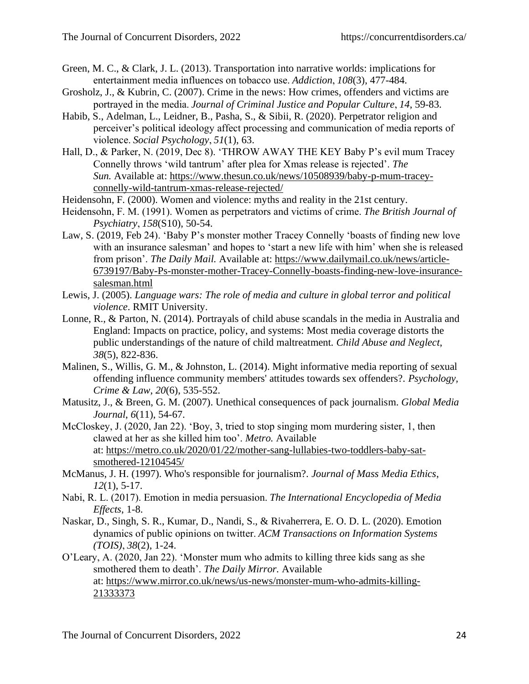- Green, M. C., & Clark, J. L. (2013). Transportation into narrative worlds: implications for entertainment media influences on tobacco use. *Addiction*, *108*(3), 477-484.
- Grosholz, J., & Kubrin, C. (2007). Crime in the news: How crimes, offenders and victims are portrayed in the media. *Journal of Criminal Justice and Popular Culture*, *14*, 59-83.
- Habib, S., Adelman, L., Leidner, B., Pasha, S., & Sibii, R. (2020). Perpetrator religion and perceiver's political ideology affect processing and communication of media reports of violence. *Social Psychology*, *51*(1), 63.
- Hall, D., & Parker, N. (2019, Dec 8). 'THROW AWAY THE KEY Baby P's evil mum Tracey Connelly throws 'wild tantrum' after plea for Xmas release is rejected'. *The Sun.* Available at: [https://www.thesun.co.uk/news/10508939/baby-p-mum-tracey](https://www.thesun.co.uk/news/10508939/baby-p-mum-tracey-connelly-wild-tantrum-xmas-release-rejected/)[connelly-wild-tantrum-xmas-release-rejected/](https://www.thesun.co.uk/news/10508939/baby-p-mum-tracey-connelly-wild-tantrum-xmas-release-rejected/)
- Heidensohn, F. (2000). Women and violence: myths and reality in the 21st century.
- Heidensohn, F. M. (1991). Women as perpetrators and victims of crime. *The British Journal of Psychiatry*, *158*(S10), 50-54.
- Law, S. (2019, Feb 24). 'Baby P's monster mother Tracey Connelly 'boasts of finding new love with an insurance salesman' and hopes to 'start a new life with him' when she is released from prison'. *The Daily Mail.* Available at: [https://www.dailymail.co.uk/news/article-](https://www.dailymail.co.uk/news/article-6739197/Baby-Ps-monster-mother-Tracey-Connelly-boasts-finding-new-love-insurance-salesman.html)[6739197/Baby-Ps-monster-mother-Tracey-Connelly-boasts-finding-new-love-insurance](https://www.dailymail.co.uk/news/article-6739197/Baby-Ps-monster-mother-Tracey-Connelly-boasts-finding-new-love-insurance-salesman.html)[salesman.html](https://www.dailymail.co.uk/news/article-6739197/Baby-Ps-monster-mother-Tracey-Connelly-boasts-finding-new-love-insurance-salesman.html)
- Lewis, J. (2005). *Language wars: The role of media and culture in global terror and political violence*. RMIT University.
- Lonne, R., & Parton, N. (2014). Portrayals of child abuse scandals in the media in Australia and England: Impacts on practice, policy, and systems: Most media coverage distorts the public understandings of the nature of child maltreatment. *Child Abuse and Neglect*, *38*(5), 822-836.
- Malinen, S., Willis, G. M., & Johnston, L. (2014). Might informative media reporting of sexual offending influence community members' attitudes towards sex offenders?. *Psychology, Crime & Law*, *20*(6), 535-552.
- Matusitz, J., & Breen, G. M. (2007). Unethical consequences of pack journalism. *Global Media Journal*, *6*(11), 54-67.
- McCloskey, J. (2020, Jan 22). 'Boy, 3, tried to stop singing mom murdering sister, 1, then clawed at her as she killed him too'. *Metro.* Available at: [https://metro.co.uk/2020/01/22/mother-sang-lullabies-two-toddlers-baby-sat](https://metro.co.uk/2020/01/22/mother-sang-lullabies-two-toddlers-baby-sat-smothered-12104545/)[smothered-12104545/](https://metro.co.uk/2020/01/22/mother-sang-lullabies-two-toddlers-baby-sat-smothered-12104545/)
- McManus, J. H. (1997). Who's responsible for journalism?. *Journal of Mass Media Ethics*, *12*(1), 5-17.
- Nabi, R. L. (2017). Emotion in media persuasion. *The International Encyclopedia of Media Effects*, 1-8.
- Naskar, D., Singh, S. R., Kumar, D., Nandi, S., & Rivaherrera, E. O. D. L. (2020). Emotion dynamics of public opinions on twitter. *ACM Transactions on Information Systems (TOIS)*, *38*(2), 1-24.
- O'Leary, A. (2020, Jan 22). 'Monster mum who admits to killing three kids sang as she smothered them to death'. *The Daily Mirror.* Available at: [https://www.mirror.co.uk/news/us-news/monster-mum-who-admits-killing-](https://www.mirror.co.uk/news/us-news/monster-mum-who-admits-killing-21333373)[21333373](https://www.mirror.co.uk/news/us-news/monster-mum-who-admits-killing-21333373)